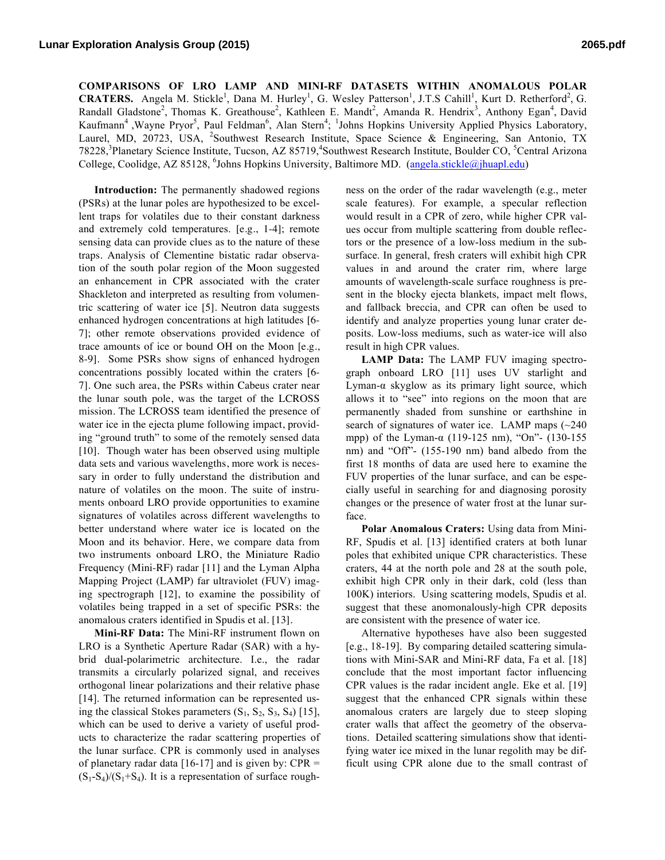**COMPARISONS OF LRO LAMP AND MINI-RF DATASETS WITHIN ANOMALOUS POLAR CRATERS.** Angela M. Stickle<sup>1</sup>, Dana M. Hurley<sup>1</sup>, G. Wesley Patterson<sup>1</sup>, J.T.S Cahill<sup>1</sup>, Kurt D. Retherford<sup>2</sup>, G. Randall Gladstone<sup>2</sup>, Thomas K. Greathouse<sup>2</sup>, Kathleen E. Mandt<sup>2</sup>, Amanda R. Hendrix<sup>3</sup>, Anthony Egan<sup>4</sup>, David Kaufmann<sup>4</sup>, Wayne Pryor<sup>5</sup>, Paul Feldman<sup>6</sup>, Alan Stern<sup>4</sup>; <sup>1</sup>Johns Hopkins University Applied Physics Laboratory, Laurel, MD, 20723, USA, <sup>2</sup>Southwest Research Institute, Space Science & Engineering, San Antonio, TX 78228,<sup>3</sup>Planetary Science Institute, Tucson, AZ 85719,<sup>4</sup>Southwest Research Institute, Boulder CO, <sup>5</sup>Central Arizona College, Coolidge, AZ 85128, <sup>6</sup>Johns Hopkins University, Baltimore MD. (angela.stickle@jhuapl.edu)

**Introduction:** The permanently shadowed regions (PSRs) at the lunar poles are hypothesized to be excellent traps for volatiles due to their constant darkness and extremely cold temperatures. [e.g., 1-4]; remote sensing data can provide clues as to the nature of these traps. Analysis of Clementine bistatic radar observation of the south polar region of the Moon suggested an enhancement in CPR associated with the crater Shackleton and interpreted as resulting from volumentric scattering of water ice [5]. Neutron data suggests enhanced hydrogen concentrations at high latitudes [6- 7]; other remote observations provided evidence of trace amounts of ice or bound OH on the Moon [e.g., 8-9]. Some PSRs show signs of enhanced hydrogen concentrations possibly located within the craters [6- 7]. One such area, the PSRs within Cabeus crater near the lunar south pole, was the target of the LCROSS mission. The LCROSS team identified the presence of water ice in the ejecta plume following impact, providing "ground truth" to some of the remotely sensed data [10]. Though water has been observed using multiple data sets and various wavelengths, more work is necessary in order to fully understand the distribution and nature of volatiles on the moon. The suite of instruments onboard LRO provide opportunities to examine signatures of volatiles across different wavelengths to better understand where water ice is located on the Moon and its behavior. Here, we compare data from two instruments onboard LRO, the Miniature Radio Frequency (Mini-RF) radar [11] and the Lyman Alpha Mapping Project (LAMP) far ultraviolet (FUV) imaging spectrograph [12], to examine the possibility of volatiles being trapped in a set of specific PSRs: the anomalous craters identified in Spudis et al. [13].

**Mini-RF Data:** The Mini-RF instrument flown on LRO is a Synthetic Aperture Radar (SAR) with a hybrid dual-polarimetric architecture. I.e., the radar transmits a circularly polarized signal, and receives orthogonal linear polarizations and their relative phase [14]. The returned information can be represented using the classical Stokes parameters  $(S_1, S_2, S_3, S_4)$  [15], which can be used to derive a variety of useful products to characterize the radar scattering properties of the lunar surface. CPR is commonly used in analyses of planetary radar data  $[16-17]$  and is given by: CPR =  $(S_1-S_4)/(S_1+S_4)$ . It is a representation of surface roughness on the order of the radar wavelength (e.g., meter scale features). For example, a specular reflection would result in a CPR of zero, while higher CPR values occur from multiple scattering from double reflectors or the presence of a low-loss medium in the subsurface. In general, fresh craters will exhibit high CPR values in and around the crater rim, where large amounts of wavelength-scale surface roughness is present in the blocky ejecta blankets, impact melt flows, and fallback breccia, and CPR can often be used to identify and analyze properties young lunar crater deposits. Low-loss mediums, such as water-ice will also result in high CPR values.

**LAMP Data:** The LAMP FUV imaging spectrograph onboard LRO [11] uses UV starlight and Lyman-α skyglow as its primary light source, which allows it to "see" into regions on the moon that are permanently shaded from sunshine or earthshine in search of signatures of water ice. LAMP maps (~240 mpp) of the Lyman-α (119-125 nm), "On"- (130-155 nm) and "Off"- (155-190 nm) band albedo from the first 18 months of data are used here to examine the FUV properties of the lunar surface, and can be especially useful in searching for and diagnosing porosity changes or the presence of water frost at the lunar surface.

**Polar Anomalous Craters:** Using data from Mini-RF, Spudis et al. [13] identified craters at both lunar poles that exhibited unique CPR characteristics. These craters, 44 at the north pole and 28 at the south pole, exhibit high CPR only in their dark, cold (less than 100K) interiors. Using scattering models, Spudis et al. suggest that these anomonalously-high CPR deposits are consistent with the presence of water ice.

Alternative hypotheses have also been suggested [e.g., 18-19]. By comparing detailed scattering simulations with Mini-SAR and Mini-RF data, Fa et al. [18] conclude that the most important factor influencing CPR values is the radar incident angle. Eke et al. [19] suggest that the enhanced CPR signals within these anomalous craters are largely due to steep sloping crater walls that affect the geometry of the observations. Detailed scattering simulations show that identifying water ice mixed in the lunar regolith may be difficult using CPR alone due to the small contrast of